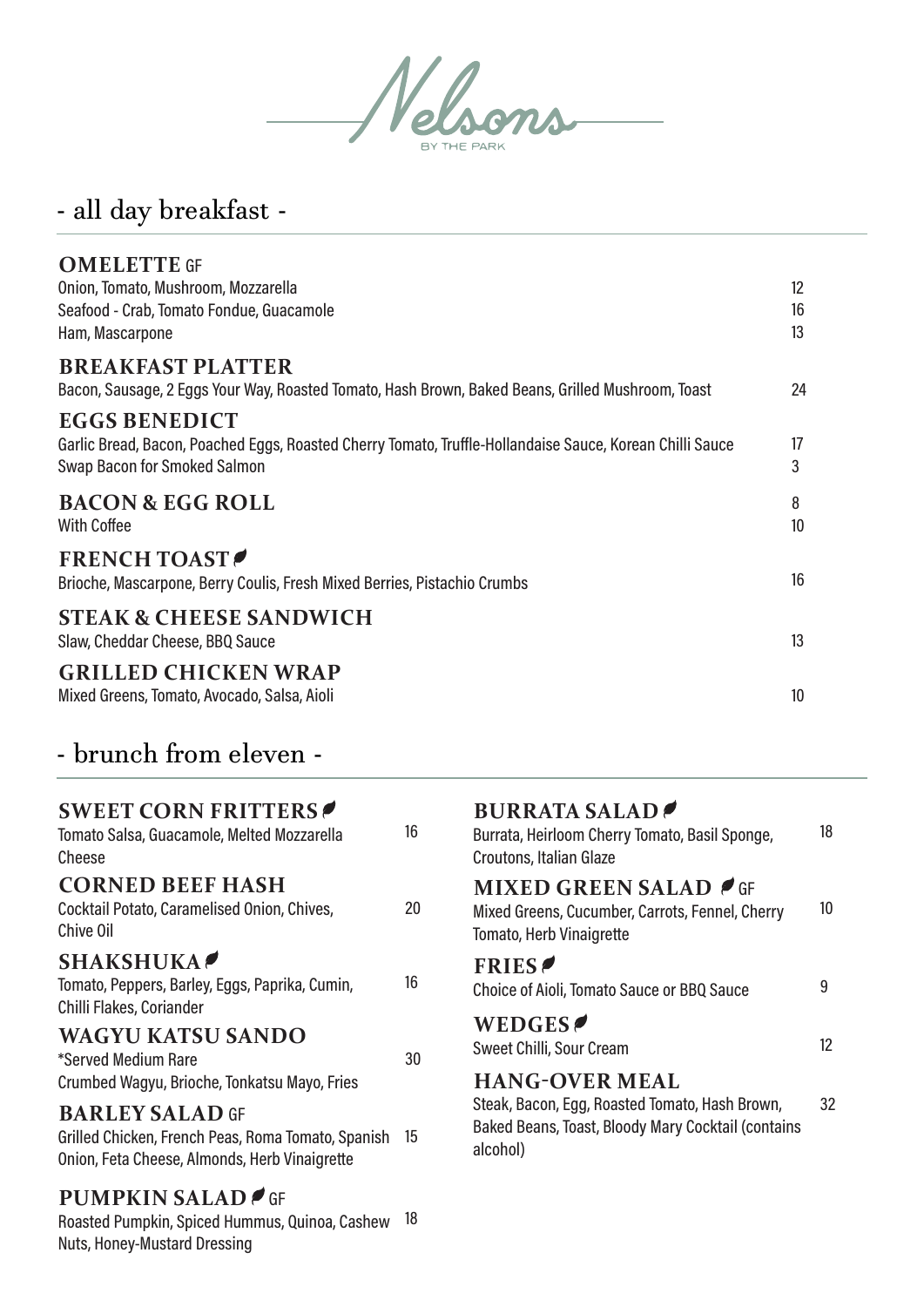

## - all day breakfast -

| <b>OMELETTE GF</b><br>Onion, Tomato, Mushroom, Mozzarella<br>Seafood - Crab, Tomato Fondue, Guacamole<br>Ham, Mascarpone                                         | 12<br>16<br>13 |
|------------------------------------------------------------------------------------------------------------------------------------------------------------------|----------------|
| <b>BREAKFAST PLATTER</b><br>Bacon, Sausage, 2 Eggs Your Way, Roasted Tomato, Hash Brown, Baked Beans, Grilled Mushroom, Toast                                    | 24             |
| <b>EGGS BENEDICT</b><br>Garlic Bread, Bacon, Poached Eggs, Roasted Cherry Tomato, Truffle-Hollandaise Sauce, Korean Chilli Sauce<br>Swap Bacon for Smoked Salmon | 17<br>3        |
| <b>BACON &amp; EGG ROLL</b><br><b>With Coffee</b>                                                                                                                | 8<br>10        |
| <b>FRENCH TOAST</b><br>Brioche, Mascarpone, Berry Coulis, Fresh Mixed Berries, Pistachio Crumbs                                                                  | 16             |
| <b>STEAK &amp; CHEESE SANDWICH</b><br>Slaw, Cheddar Cheese, BBQ Sauce                                                                                            | 13             |
| <b>GRILLED CHICKEN WRAP</b><br>Mixed Greens, Tomato, Avocado, Salsa, Aioli                                                                                       | 10             |

# - brunch from eleven -

| <b>SWEET CORN FRITTERS</b><br>Tomato Salsa, Guacamole, Melted Mozzarella<br>Cheese                                            | 16 | <b>BURRATA SALAD</b><br>Burrata, Heirloom Cherry Tomato, Basil Sponge,<br>Croutons, Italian Glaze                   | 18 |
|-------------------------------------------------------------------------------------------------------------------------------|----|---------------------------------------------------------------------------------------------------------------------|----|
| <b>CORNED BEEF HASH</b><br>Cocktail Potato, Caramelised Onion, Chives,<br>Chive Oil                                           | 20 | <b>MIXED GREEN SALAD 6</b> GF<br>Mixed Greens, Cucumber, Carrots, Fennel, Cherry<br><b>Tomato, Herb Vinaigrette</b> | 10 |
| <b>SHAKSHUKA</b><br>Tomato, Peppers, Barley, Eggs, Paprika, Cumin,<br>Chilli Flakes, Coriander                                | 16 | <b>FRIES</b><br>Choice of Aioli, Tomato Sauce or BBQ Sauce                                                          | 9  |
| <b>WAGYU KATSU SANDO</b><br>*Served Medium Rare                                                                               | 30 | WEDGES<br>Sweet Chilli, Sour Cream                                                                                  | 12 |
| Crumbed Wagyu, Brioche, Tonkatsu Mayo, Fries                                                                                  |    | <b>HANG-OVER MEAL</b>                                                                                               |    |
| <b>BARLEY SALAD GF</b><br>Grilled Chicken, French Peas, Roma Tomato, Spanish<br>Onion, Feta Cheese, Almonds, Herb Vinaigrette | 15 | Steak, Bacon, Egg, Roasted Tomato, Hash Brown,<br>Baked Beans, Toast, Bloody Mary Cocktail (contains<br>alcohol)    | 32 |

#### **PUMPKIN SALAD**

Roasted Pumpkin, Spiced Hummus, Quinoa, Cashew 18 Nuts, Honey-Mustard Dressing